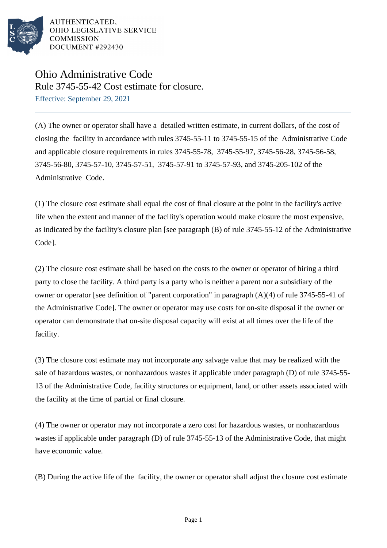

AUTHENTICATED. OHIO LEGISLATIVE SERVICE **COMMISSION** DOCUMENT #292430

## Ohio Administrative Code Rule 3745-55-42 Cost estimate for closure.

Effective: September 29, 2021

(A) The owner or operator shall have a detailed written estimate, in current dollars, of the cost of closing the facility in accordance with rules 3745-55-11 to 3745-55-15 of the Administrative Code and applicable closure requirements in rules 3745-55-78, 3745-55-97, 3745-56-28, 3745-56-58, 3745-56-80, 3745-57-10, 3745-57-51, 3745-57-91 to 3745-57-93, and 3745-205-102 of the Administrative Code.

(1) The closure cost estimate shall equal the cost of final closure at the point in the facility's active life when the extent and manner of the facility's operation would make closure the most expensive, as indicated by the facility's closure plan [see paragraph  $(B)$  of rule 3745-55-12 of the Administrative Code].

(2) The closure cost estimate shall be based on the costs to the owner or operator of hiring a third party to close the facility. A third party is a party who is neither a parent nor a subsidiary of the owner or operator [see definition of "parent corporation" in paragraph  $(A)(4)$  of rule 3745-55-41 of the Administrative Code]. The owner or operator may use costs for on-site disposal if the owner or operator can demonstrate that on-site disposal capacity will exist at all times over the life of the facility.

(3) The closure cost estimate may not incorporate any salvage value that may be realized with the sale of hazardous wastes, or nonhazardous wastes if applicable under paragraph (D) of rule 3745-55-13 of the Administrative Code, facility structures or equipment, land, or other assets associated with the facility at the time of partial or final closure.

(4) The owner or operator may not incorporate a zero cost for hazardous wastes, or nonhazardous wastes if applicable under paragraph  $(D)$  of rule 3745-55-13 of the Administrative Code, that might have economic value.

(B) During the active life of the facility, the owner or operator shall adjust the closure cost estimate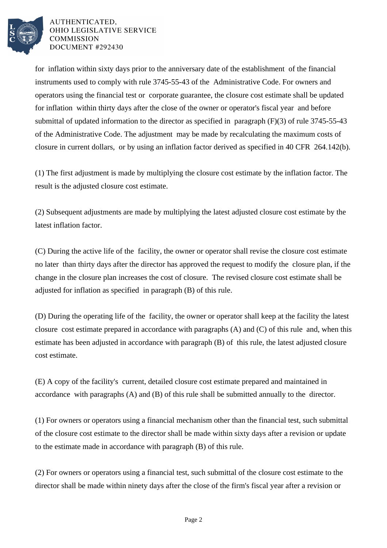

## AUTHENTICATED. OHIO LEGISLATIVE SERVICE **COMMISSION** DOCUMENT #292430

for inflation within sixty days prior to the anniversary date of the establishment of the financial instruments used to comply with rule 3745-55-43 of the Administrative Code. For owners and operators using the financial test or corporate guarantee, the closure cost estimate shall be updated for inflation within thirty days after the close of the owner or operator's fiscal year and before submittal of updated information to the director as specified in paragraph (F)(3) of rule 3745-55-43 of the Administrative Code. The adjustment may be made by recalculating the maximum costs of closure in current dollars, or by using an inflation factor derived as specified in 40 CFR 264.142(b).

(1) The first adjustment is made by multiplying the closure cost estimate by the inflation factor. The result is the adjusted closure cost estimate.

(2) Subsequent adjustments are made by multiplying the latest adjusted closure cost estimate by the latest inflation factor.

(C) During the active life of the facility, the owner or operator shall revise the closure cost estimate no later than thirty days after the director has approved the request to modify the closure plan, if the change in the closure plan increases the cost of closure. The revised closure cost estimate shall be adjusted for inflation as specified in paragraph (B) of this rule.

(D) During the operating life of the facility, the owner or operator shall keep at the facility the latest closure cost estimate prepared in accordance with paragraphs (A) and (C) of this rule and, when this estimate has been adjusted in accordance with paragraph (B) of this rule, the latest adjusted closure cost estimate.

(E) A copy of the facility's current, detailed closure cost estimate prepared and maintained in accordance with paragraphs (A) and (B) of this rule shall be submitted annually to the director.

(1) For owners or operators using a financial mechanism other than the financial test, such submittal of the closure cost estimate to the director shall be made within sixty days after a revision or update to the estimate made in accordance with paragraph (B) of this rule.

(2) For owners or operators using a financial test, such submittal of the closure cost estimate to the director shall be made within ninety days after the close of the firm's fiscal year after a revision or